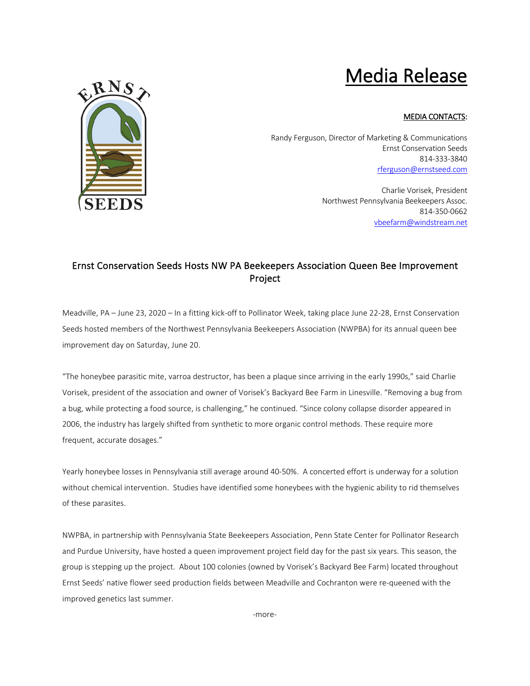## Media Release



## MEDIA CONTACTS:

Randy Ferguson, Director of Marketing & Communications Ernst Conservation Seeds 814-333-3840 [rferguson@ernstseed.com](mailto:rferguson@ernstseed.com)

> Charlie Vorisek, President Northwest Pennsylvania Beekeepers Assoc. 814-350-0662 [vbeefarm@windstream.net](mailto:vbeefarm@windstream.net)

## Ernst Conservation Seeds Hosts NW PA Beekeepers Association Queen Bee Improvement Project

Meadville, PA – June 23, 2020 – In a fitting kick-off to Pollinator Week, taking place June 22-28, Ernst Conservation Seeds hosted members of the Northwest Pennsylvania Beekeepers Association (NWPBA) for its annual queen bee improvement day on Saturday, June 20.

"The honeybee parasitic mite, varroa destructor, has been a plaque since arriving in the early 1990s," said Charlie Vorisek, president of the association and owner of Vorisek's Backyard Bee Farm in Linesville. "Removing a bug from a bug, while protecting a food source, is challenging," he continued. "Since colony collapse disorder appeared in 2006, the industry has largely shifted from synthetic to more organic control methods. These require more frequent, accurate dosages."

Yearly honeybee losses in Pennsylvania still average around 40-50%. A concerted effort is underway for a solution without chemical intervention. Studies have identified some honeybees with the hygienic ability to rid themselves of these parasites.

NWPBA, in partnership with Pennsylvania State Beekeepers Association, Penn State Center for Pollinator Research and Purdue University, have hosted a queen improvement project field day for the past six years. This season, the group is stepping up the project. About 100 colonies (owned by Vorisek's Backyard Bee Farm) located throughout Ernst Seeds' native flower seed production fields between Meadville and Cochranton were re-queened with the improved genetics last summer.